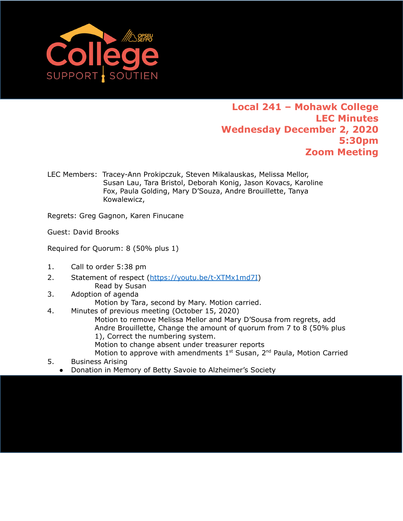

## **Local 241 – Mohawk College LEC Minutes Wednesday December 2, 2020 5:30pm Zoom Meeting**

LEC Members: Tracey-Ann Prokipczuk, Steven Mikalauskas, Melissa Mellor, Susan Lau, Tara Bristol, Deborah Konig, Jason Kovacs, Karoline Fox, Paula Golding, Mary D'Souza, Andre Brouillette, Tanya Kowalewicz,

Regrets: Greg Gagnon, Karen Finucane

Guest: David Brooks

Required for Quorum: 8 (50% plus 1)

- 1. Call to order 5:38 pm
- 2. Statement of respect ([https://youtu.be/t-XTMx1md7I\)](https://youtu.be/t-XTMx1md7I) Read by Susan
- 3. Adoption of agenda
	- Motion by Tara, second by Mary. Motion carried.
- 4. Minutes of previous meeting (October 15, 2020)

Motion to remove Melissa Mellor and Mary D'Sousa from regrets, add Andre Brouillette, Change the amount of quorum from 7 to 8 (50% plus 1), Correct the numbering system.

Motion to change absent under treasurer reports

Motion to approve with amendments  $1<sup>st</sup> S$ usan,  $2<sup>nd</sup>$  Paula, Motion Carried 5. Business Arising

● Donation in Memory of Betty Savoie to Alzheimer's Society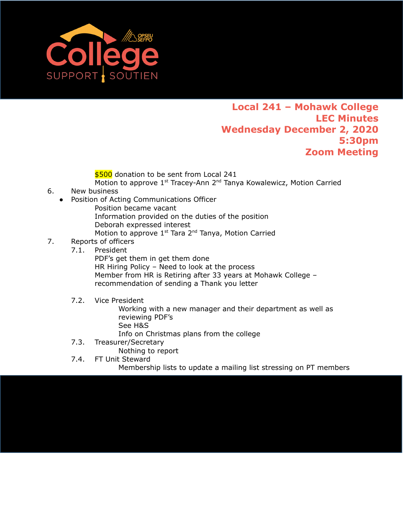

## **Local 241 – Mohawk College LEC Minutes Wednesday December 2, 2020 5:30pm Zoom Meeting**

\$500 donation to be sent from Local 241

- Motion to approve 1<sup>st</sup> Tracey-Ann 2<sup>nd</sup> Tanya Kowalewicz, Motion Carried
- 6. New business
	- Position of Acting Communications Officer
		- Position became vacant Information provided on the duties of the position Deborah expressed interest Motion to approve  $1^{st}$  Tara 2<sup>nd</sup> Tanya, Motion Carried
- 7. Reports of officers
	- 7.1. President

PDF's get them in get them done HR Hiring Policy – Need to look at the process Member from HR is Retiring after 33 years at Mohawk College – recommendation of sending a Thank you letter

7.2. Vice President

Working with a new manager and their department as well as reviewing PDF's See H&S Info on Christmas plans from the college

7.3. Treasurer/Secretary

Nothing to report

7.4. FT Unit Steward Membership lists to update a mailing list stressing on PT members